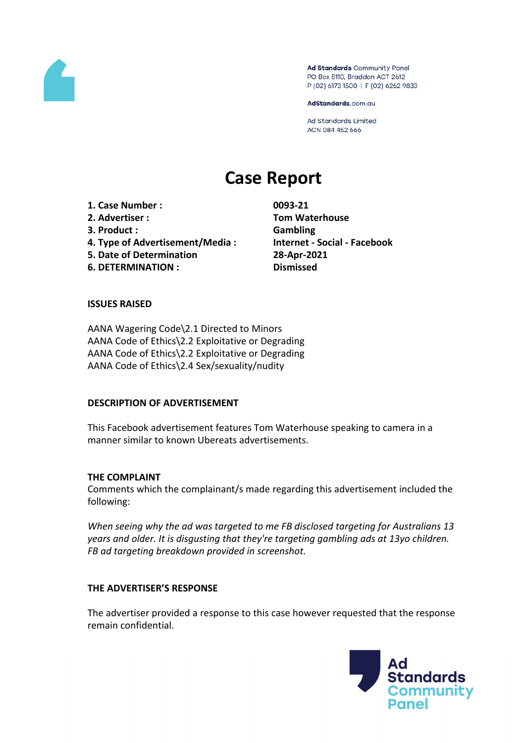

Ad Standards Community Panel PO Box 5110, Braddon ACT 2612 P (02) 6173 1500 | F (02) 6262 9833

AdStandards.com.au

Ad Standards Limited ACN 084 452 666

# **Case Report**

**1. Case Number : 0093-21 2. Advertiser : Tom Waterhouse 3. Product : Gambling 4. Type of Advertisement/Media : Internet - Social - Facebook 5. Date of Determination 28-Apr-2021 6. DETERMINATION : Dismissed**

## **ISSUES RAISED**

AANA Wagering Code\2.1 Directed to Minors AANA Code of Ethics\2.2 Exploitative or Degrading AANA Code of Ethics\2.2 Exploitative or Degrading AANA Code of Ethics\2.4 Sex/sexuality/nudity

#### **DESCRIPTION OF ADVERTISEMENT**

This Facebook advertisement features Tom Waterhouse speaking to camera in a manner similar to known Ubereats advertisements.

## **THE COMPLAINT**

Comments which the complainant/s made regarding this advertisement included the following:

*When seeing why the ad was targeted to me FB disclosed targeting for Australians 13 years and older. It is disgusting that they're targeting gambling ads at 13yo children. FB ad targeting breakdown provided in screenshot.*

#### **THE ADVERTISER'S RESPONSE**

The advertiser provided a response to this case however requested that the response remain confidential.

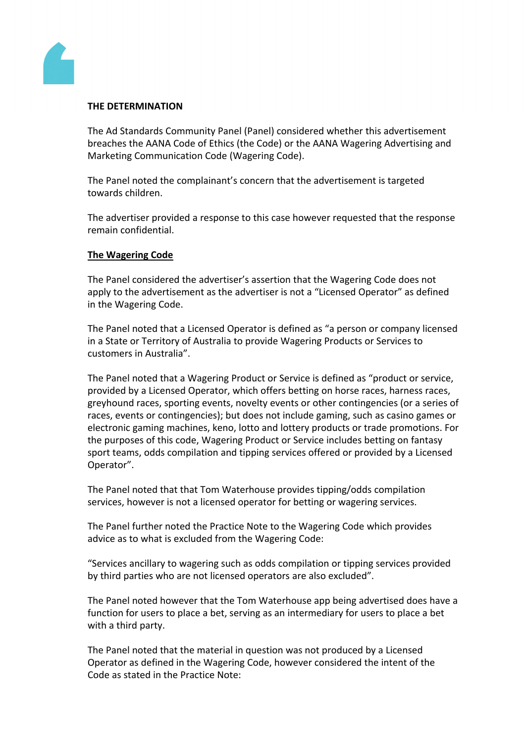

#### **THE DETERMINATION**

The Ad Standards Community Panel (Panel) considered whether this advertisement breaches the AANA Code of Ethics (the Code) or the AANA Wagering Advertising and Marketing Communication Code (Wagering Code).

The Panel noted the complainant's concern that the advertisement is targeted towards children.

The advertiser provided a response to this case however requested that the response remain confidential.

## **The Wagering Code**

The Panel considered the advertiser's assertion that the Wagering Code does not apply to the advertisement as the advertiser is not a "Licensed Operator" as defined in the Wagering Code.

The Panel noted that a Licensed Operator is defined as "a person or company licensed in a State or Territory of Australia to provide Wagering Products or Services to customers in Australia".

The Panel noted that a Wagering Product or Service is defined as "product or service, provided by a Licensed Operator, which offers betting on horse races, harness races, greyhound races, sporting events, novelty events or other contingencies (or a series of races, events or contingencies); but does not include gaming, such as casino games or electronic gaming machines, keno, lotto and lottery products or trade promotions. For the purposes of this code, Wagering Product or Service includes betting on fantasy sport teams, odds compilation and tipping services offered or provided by a Licensed Operator".

The Panel noted that that Tom Waterhouse provides tipping/odds compilation services, however is not a licensed operator for betting or wagering services.

The Panel further noted the Practice Note to the Wagering Code which provides advice as to what is excluded from the Wagering Code:

"Services ancillary to wagering such as odds compilation or tipping services provided by third parties who are not licensed operators are also excluded".

The Panel noted however that the Tom Waterhouse app being advertised does have a function for users to place a bet, serving as an intermediary for users to place a bet with a third party.

The Panel noted that the material in question was not produced by a Licensed Operator as defined in the Wagering Code, however considered the intent of the Code as stated in the Practice Note: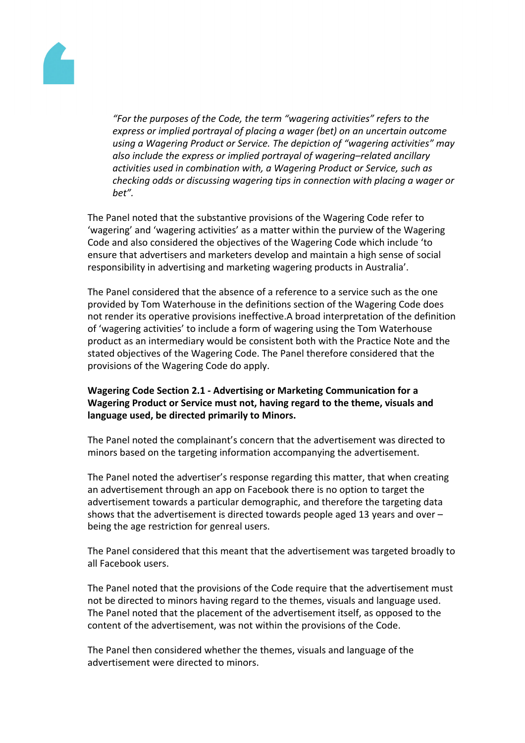

*"For the purposes of the Code, the term "wagering activities" refers to the express or implied portrayal of placing a wager (bet) on an uncertain outcome using a Wagering Product or Service. The depiction of "wagering activities" may also include the express or implied portrayal of wagering–related ancillary activities used in combination with, a Wagering Product or Service, such as checking odds or discussing wagering tips in connection with placing a wager or bet".*

The Panel noted that the substantive provisions of the Wagering Code refer to 'wagering' and 'wagering activities' as a matter within the purview of the Wagering Code and also considered the objectives of the Wagering Code which include 'to ensure that advertisers and marketers develop and maintain a high sense of social responsibility in advertising and marketing wagering products in Australia'.

The Panel considered that the absence of a reference to a service such as the one provided by Tom Waterhouse in the definitions section of the Wagering Code does not render its operative provisions ineffective.A broad interpretation of the definition of 'wagering activities' to include a form of wagering using the Tom Waterhouse product as an intermediary would be consistent both with the Practice Note and the stated objectives of the Wagering Code. The Panel therefore considered that the provisions of the Wagering Code do apply.

# **Wagering Code Section 2.1 - Advertising or Marketing Communication for a Wagering Product or Service must not, having regard to the theme, visuals and language used, be directed primarily to Minors.**

The Panel noted the complainant's concern that the advertisement was directed to minors based on the targeting information accompanying the advertisement.

The Panel noted the advertiser's response regarding this matter, that when creating an advertisement through an app on Facebook there is no option to target the advertisement towards a particular demographic, and therefore the targeting data shows that the advertisement is directed towards people aged 13 years and over – being the age restriction for genreal users.

The Panel considered that this meant that the advertisement was targeted broadly to all Facebook users.

The Panel noted that the provisions of the Code require that the advertisement must not be directed to minors having regard to the themes, visuals and language used. The Panel noted that the placement of the advertisement itself, as opposed to the content of the advertisement, was not within the provisions of the Code.

The Panel then considered whether the themes, visuals and language of the advertisement were directed to minors.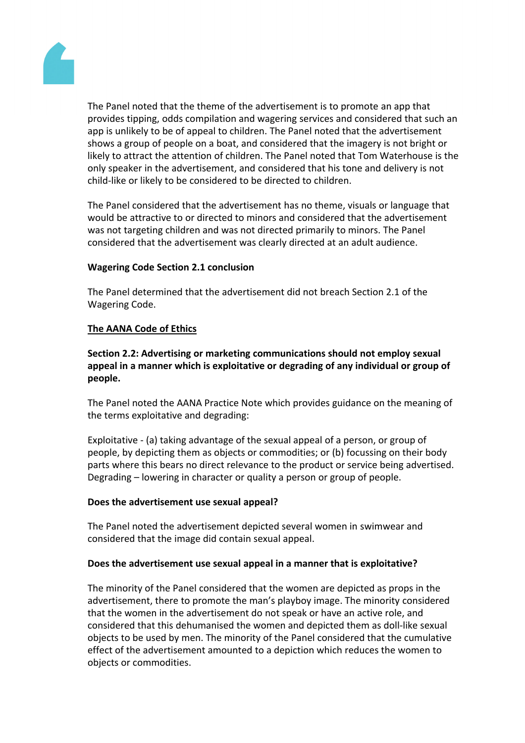

The Panel noted that the theme of the advertisement is to promote an app that provides tipping, odds compilation and wagering services and considered that such an app is unlikely to be of appeal to children. The Panel noted that the advertisement shows a group of people on a boat, and considered that the imagery is not bright or likely to attract the attention of children. The Panel noted that Tom Waterhouse is the only speaker in the advertisement, and considered that his tone and delivery is not child-like or likely to be considered to be directed to children.

The Panel considered that the advertisement has no theme, visuals or language that would be attractive to or directed to minors and considered that the advertisement was not targeting children and was not directed primarily to minors. The Panel considered that the advertisement was clearly directed at an adult audience.

## **Wagering Code Section 2.1 conclusion**

The Panel determined that the advertisement did not breach Section 2.1 of the Wagering Code.

## **The AANA Code of Ethics**

## **Section 2.2: Advertising or marketing communications should not employ sexual appeal in a manner which is exploitative or degrading of any individual or group of people.**

The Panel noted the AANA Practice Note which provides guidance on the meaning of the terms exploitative and degrading:

Exploitative - (a) taking advantage of the sexual appeal of a person, or group of people, by depicting them as objects or commodities; or (b) focussing on their body parts where this bears no direct relevance to the product or service being advertised. Degrading – lowering in character or quality a person or group of people.

## **Does the advertisement use sexual appeal?**

The Panel noted the advertisement depicted several women in swimwear and considered that the image did contain sexual appeal.

## **Does the advertisement use sexual appeal in a manner that is exploitative?**

The minority of the Panel considered that the women are depicted as props in the advertisement, there to promote the man's playboy image. The minority considered that the women in the advertisement do not speak or have an active role, and considered that this dehumanised the women and depicted them as doll-like sexual objects to be used by men. The minority of the Panel considered that the cumulative effect of the advertisement amounted to a depiction which reduces the women to objects or commodities.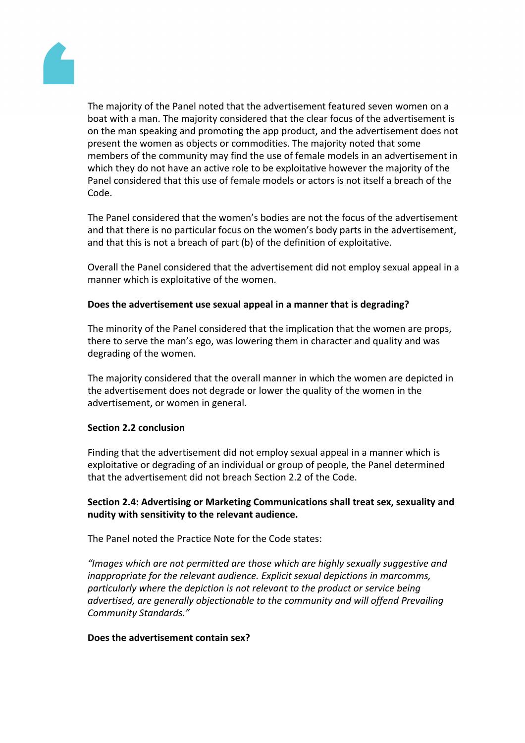

The majority of the Panel noted that the advertisement featured seven women on a boat with a man. The majority considered that the clear focus of the advertisement is on the man speaking and promoting the app product, and the advertisement does not present the women as objects or commodities. The majority noted that some members of the community may find the use of female models in an advertisement in which they do not have an active role to be exploitative however the majority of the Panel considered that this use of female models or actors is not itself a breach of the Code.

The Panel considered that the women's bodies are not the focus of the advertisement and that there is no particular focus on the women's body parts in the advertisement, and that this is not a breach of part (b) of the definition of exploitative.

Overall the Panel considered that the advertisement did not employ sexual appeal in a manner which is exploitative of the women.

## **Does the advertisement use sexual appeal in a manner that is degrading?**

The minority of the Panel considered that the implication that the women are props, there to serve the man's ego, was lowering them in character and quality and was degrading of the women.

The majority considered that the overall manner in which the women are depicted in the advertisement does not degrade or lower the quality of the women in the advertisement, or women in general.

## **Section 2.2 conclusion**

Finding that the advertisement did not employ sexual appeal in a manner which is exploitative or degrading of an individual or group of people, the Panel determined that the advertisement did not breach Section 2.2 of the Code.

# **Section 2.4: Advertising or Marketing Communications shall treat sex, sexuality and nudity with sensitivity to the relevant audience.**

The Panel noted the Practice Note for the Code states:

*"Images which are not permitted are those which are highly sexually suggestive and inappropriate for the relevant audience. Explicit sexual depictions in marcomms, particularly where the depiction is not relevant to the product or service being advertised, are generally objectionable to the community and will offend Prevailing Community Standards."*

## **Does the advertisement contain sex?**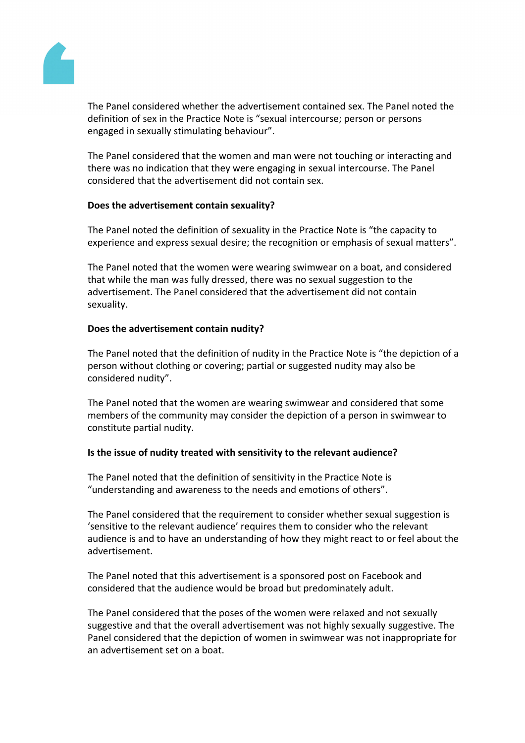

The Panel considered whether the advertisement contained sex. The Panel noted the definition of sex in the Practice Note is "sexual intercourse; person or persons engaged in sexually stimulating behaviour".

The Panel considered that the women and man were not touching or interacting and there was no indication that they were engaging in sexual intercourse. The Panel considered that the advertisement did not contain sex.

## **Does the advertisement contain sexuality?**

The Panel noted the definition of sexuality in the Practice Note is "the capacity to experience and express sexual desire; the recognition or emphasis of sexual matters".

The Panel noted that the women were wearing swimwear on a boat, and considered that while the man was fully dressed, there was no sexual suggestion to the advertisement. The Panel considered that the advertisement did not contain sexuality.

# **Does the advertisement contain nudity?**

The Panel noted that the definition of nudity in the Practice Note is "the depiction of a person without clothing or covering; partial or suggested nudity may also be considered nudity".

The Panel noted that the women are wearing swimwear and considered that some members of the community may consider the depiction of a person in swimwear to constitute partial nudity.

# **Is the issue of nudity treated with sensitivity to the relevant audience?**

The Panel noted that the definition of sensitivity in the Practice Note is "understanding and awareness to the needs and emotions of others".

The Panel considered that the requirement to consider whether sexual suggestion is 'sensitive to the relevant audience' requires them to consider who the relevant audience is and to have an understanding of how they might react to or feel about the advertisement.

The Panel noted that this advertisement is a sponsored post on Facebook and considered that the audience would be broad but predominately adult.

The Panel considered that the poses of the women were relaxed and not sexually suggestive and that the overall advertisement was not highly sexually suggestive. The Panel considered that the depiction of women in swimwear was not inappropriate for an advertisement set on a boat.